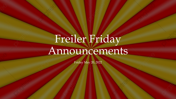# Freiler Friday Announcements

Friday May 20, 2022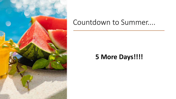

### Countdown to Summer....

### **5 More Days!!!!**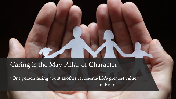#### Caring is the May Pillar of Character

"One person caring about another represents life's greatest value." – Jim Rohn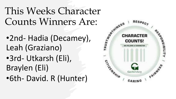This Weeks Character

- Counts Winners Are:<br>
•2nd- Hadia (Decamey), •2nd- Hadia (Decamey), Leah (Graziano)
- •3rd- Utkarsh (Eli), Braylen (Eli)
- •6th- David. R (Hunter)

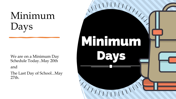# Minimum Days

We are on a Minimum Day Schedule Today..May 20th and

The Last Day of School...May 27th.

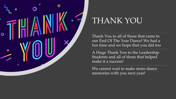

## THANK YOU

Thank You to all of those that came to our End Of The Year Dance! We had a fun time and we hope that you did too

A Huge Thank You to the Leadership Students and all of those that helped make it a success!

We cannot wait to make more dance memories with you next year!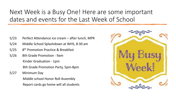### Next Week is a Busy One! Here are some important dates and events for the Last Week of School

- 5/23 Perfect Attendance ice cream after lunch, MPR
- 5/24 Middle School Splashdown at WHS, 8:30 am
- 5/25 8th Promotion Practice & Breakfast
- 5/26 8th Grade Promotion 9am Kinder Graduation - 1pm 8th Grade Promotion Party, 5pm-8pm
- 5/27 Minimum Day Middle school Honor Roll Assembly Report cards go home will all students

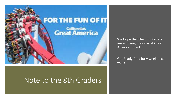

### Note to the 8th Graders

We Hope that the 8th Graders are enjoying their day at Great America today!

Get Ready for a busy week next week!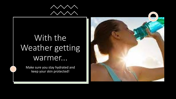

# With the Weather getting warmer...

Make sure you stay hydrated and keep your skin protected!